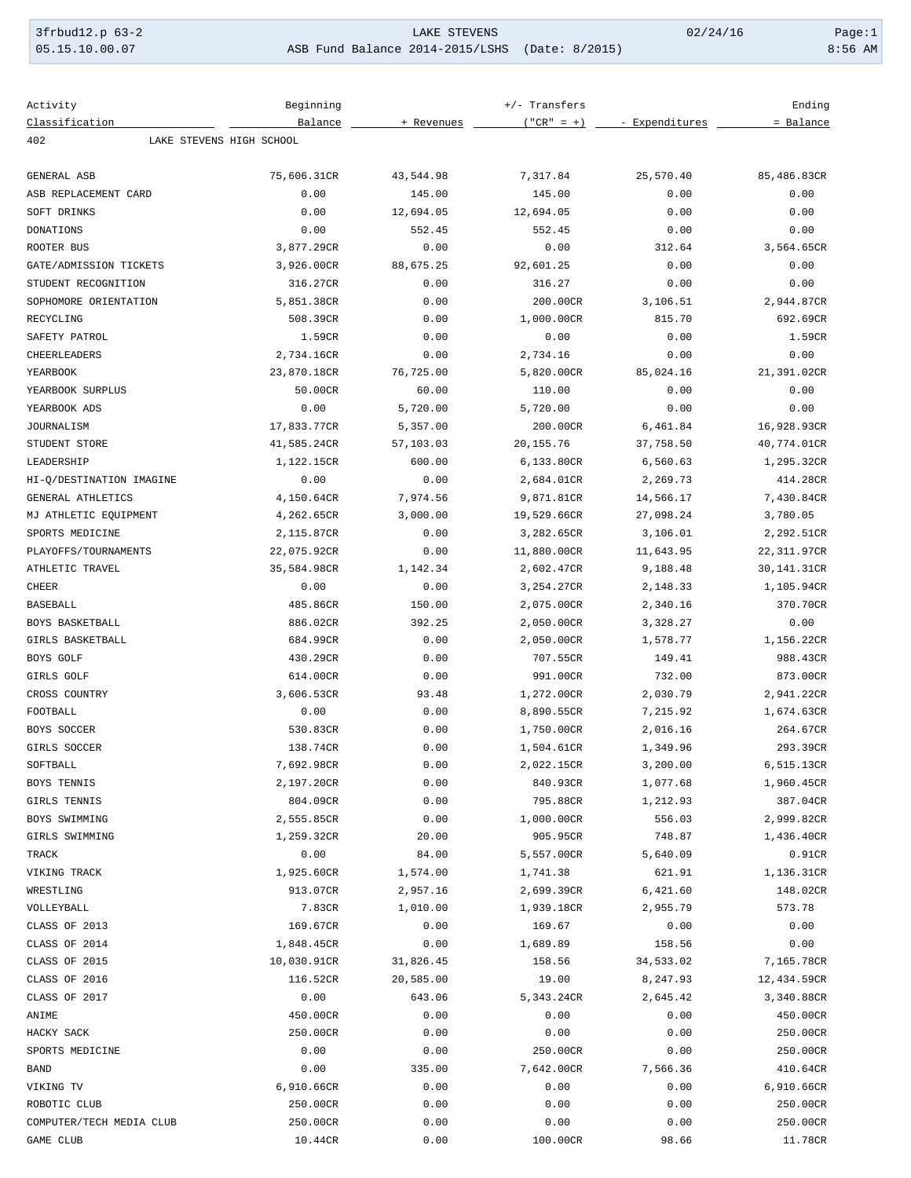| $3frbudd12.p 63-2$ |  |
|--------------------|--|
| 05.15.10.00.07     |  |

LAKE STEVENS 02/24/16 Page:1<br>2014-2015/LSHS (Date: 8/2015) 02/24/16 8:56 AM ASB Fund Balance 2014-2015/LSHS (Date: 8/2015)

| Activity                 | Beginning                | +/- Transfers |                        |                      | Ending                   |
|--------------------------|--------------------------|---------------|------------------------|----------------------|--------------------------|
| Classification           | Balance                  | + Revenues    | $("CR" = +)$           | - Expenditures       | = Balance                |
| 402                      | LAKE STEVENS HIGH SCHOOL |               |                        |                      |                          |
|                          |                          |               |                        |                      |                          |
| GENERAL ASB              | 75,606.31CR              | 43,544.98     | 7,317.84               | 25,570.40            | 85,486.83CR              |
| ASB REPLACEMENT CARD     | 0.00                     | 145.00        | 145.00                 | 0.00                 | 0.00                     |
| SOFT DRINKS              | 0.00                     | 12,694.05     | 12,694.05              | 0.00                 | 0.00                     |
| DONATIONS                | 0.00                     | 552.45        | 552.45                 | 0.00                 | 0.00                     |
| ROOTER BUS               | 3,877.29CR               | 0.00          | 0.00                   | 312.64               | 3,564.65CR               |
| GATE/ADMISSION TICKETS   | 3,926.00CR               | 88,675.25     | 92,601.25              | 0.00                 | 0.00                     |
| STUDENT RECOGNITION      | 316.27CR                 | 0.00          | 316.27                 | 0.00                 | 0.00                     |
| SOPHOMORE ORIENTATION    | 5,851.38CR               | 0.00          | 200.00CR               | 3,106.51             | 2,944.87CR               |
| RECYCLING                | 508.39CR                 | 0.00          | 1,000.00CR             | 815.70               | 692.69CR                 |
| SAFETY PATROL            | 1.59CR                   | 0.00          | 0.00                   | 0.00                 | 1.59CR                   |
| <b>CHEERLEADERS</b>      | 2,734.16CR               | 0.00          | 2,734.16               | 0.00                 | 0.00                     |
| YEARBOOK                 | 23,870.18CR              | 76,725.00     | 5,820.00CR             | 85,024.16            | 21,391.02CR              |
| YEARBOOK SURPLUS         | 50.00CR                  | 60.00         | 110.00                 | 0.00                 | 0.00                     |
| YEARBOOK ADS             | 0.00                     | 5,720.00      | 5,720.00               | 0.00                 | 0.00                     |
| JOURNALISM               | 17,833.77CR              | 5,357.00      | 200.00CR               | 6,461.84             | 16,928.93CR              |
| STUDENT STORE            | 41,585.24CR              | 57,103.03     | 20,155.76              | 37,758.50            | 40,774.01CR              |
| LEADERSHIP               | 1,122.15CR               | 600.00        | 6,133.80CR             | 6,560.63             | 1,295.32CR               |
| HI-Q/DESTINATION IMAGINE | 0.00                     | 0.00          | 2,684.01CR             | 2,269.73             | 414.28CR                 |
| GENERAL ATHLETICS        | 4,150.64CR               | 7,974.56      | 9,871.81CR             | 14,566.17            | 7,430.84CR               |
| MJ ATHLETIC EQUIPMENT    | 4,262.65CR               | 3,000.00      | 19,529.66CR            | 27,098.24            | 3,780.05                 |
| SPORTS MEDICINE          | 2,115.87CR               | 0.00          | 3,282.65CR             | 3,106.01             | 2,292.51CR               |
| PLAYOFFS/TOURNAMENTS     | 22,075.92CR              | 0.00          | 11,880.00CR            | 11,643.95            | 22,311.97CR              |
| ATHLETIC TRAVEL          | 35,584.98CR              | 1,142.34      | 2,602.47CR             | 9,188.48             | 30,141.31CR              |
| <b>CHEER</b>             | 0.00                     | 0.00          | 3,254.27CR             | 2,148.33             | 1,105.94CR               |
| <b>BASEBALL</b>          | 485.86CR                 | 150.00        | 2,075.00CR             | 2,340.16             | 370.70CR                 |
| BOYS BASKETBALL          | 886.02CR                 | 392.25        | 2,050.00CR             | 3,328.27             | 0.00                     |
| GIRLS BASKETBALL         | 684.99CR                 | 0.00          | 2,050.00CR             | 1,578.77             | 1,156.22CR               |
| BOYS GOLF                | 430.29CR                 | 0.00          | 707.55CR               | 149.41               | 988.43CR                 |
| <b>GIRLS GOLF</b>        | 614.00CR                 | 0.00          | 991.00CR               | 732.00               | 873.00CR                 |
| CROSS COUNTRY            | 3,606.53CR               | 93.48         | 1,272.00CR             | 2,030.79             | 2,941.22CR               |
| FOOTBALL                 | 0.00                     | 0.00          | 8,890.55CR             | 7,215.92             | 1,674.63CR               |
| BOYS SOCCER              | 530.83CR                 | 0.00          | 1,750.00CR             | 2,016.16             | 264.67CR                 |
| GIRLS SOCCER             | 138.74CR                 | 0.00          | 1,504.61CR             | 1,349.96             | 293.39CR                 |
| SOFTBALL                 |                          |               |                        |                      |                          |
| BOYS TENNIS              | 7,692.98CR<br>2,197.20CR | 0.00<br>0.00  | 2,022.15CR<br>840.93CR | 3,200.00<br>1,077.68 | 6,515.13CR<br>1,960.45CR |
| GIRLS TENNIS             |                          | 0.00          |                        |                      |                          |
| BOYS SWIMMING            | 804.09CR                 |               | 795.88CR               | 1,212.93             | 387.04CR                 |
|                          | 2,555.85CR               | 0.00          | 1,000.00CR             | 556.03               | 2,999.82CR               |
| GIRLS SWIMMING           | 1,259.32CR               | 20.00         | 905.95CR               | 748.87               | 1,436.40CR               |
| TRACK                    | 0.00                     | 84.00         | 5,557.00CR             | 5,640.09             | 0.91CR                   |
| VIKING TRACK             | 1,925.60CR               | 1,574.00      | 1,741.38               | 621.91               | 1,136.31CR               |
| WRESTLING                | 913.07CR                 | 2,957.16      | 2,699.39CR             | 6,421.60             | 148.02CR                 |
| VOLLEYBALL               | 7.83CR                   | 1,010.00      | 1,939.18CR             | 2,955.79             | 573.78                   |
| CLASS OF 2013            | 169.67CR                 | 0.00          | 169.67                 | 0.00                 | 0.00                     |
| CLASS OF 2014            | 1,848.45CR               | 0.00          | 1,689.89               | 158.56               | 0.00                     |
| CLASS OF 2015            | 10,030.91CR              | 31,826.45     | 158.56                 | 34,533.02            | 7,165.78CR               |
| CLASS OF 2016            | 116.52CR                 | 20,585.00     | 19.00                  | 8,247.93             | 12,434.59CR              |
| CLASS OF 2017            | 0.00                     | 643.06        | 5,343.24CR             | 2,645.42             | 3,340.88CR               |
| ANIME                    | 450.00CR                 | 0.00          | 0.00                   | 0.00                 | 450.00CR                 |
| HACKY SACK               | 250.00CR                 | 0.00          | 0.00                   | 0.00                 | 250.00CR                 |
| SPORTS MEDICINE          | 0.00                     | 0.00          | 250.00CR               | 0.00                 | 250.00CR                 |
| <b>BAND</b>              | 0.00                     | 335.00        | 7,642.00CR             | 7,566.36             | 410.64CR                 |
| VIKING TV                | 6,910.66CR               | 0.00          | 0.00                   | 0.00                 | 6,910.66CR               |
| ROBOTIC CLUB             | 250.00CR                 | 0.00          | 0.00                   | 0.00                 | 250.00CR                 |
| COMPUTER/TECH MEDIA CLUB | 250.00CR                 | 0.00          | 0.00                   | 0.00                 | 250.00CR                 |
| GAME CLUB                | 10.44CR                  | 0.00          | 100.00CR               | 98.66                | 11.78CR                  |